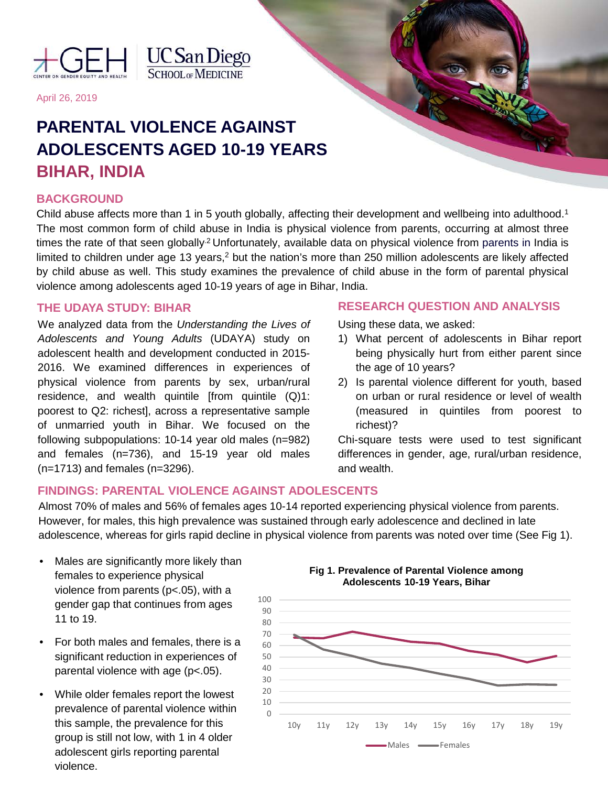

**UC** San Diego

April 26, 2019

# **PARENTAL VIOLENCE AGAINST ADOLESCENTS AGED 10-19 YEARS BIHAR, INDIA**

## **BACKGROUND**

Child abuse affects more than 1 in 5 youth globally, affecting their development and wellbeing into adulthood.<sup>1</sup> The most common form of child abuse in India is physical violence from parents, occurring at almost three times the rate of that seen globally<sup>2</sup> Unfortunately, available data on physical violence from parents in India is limited to children under age 13 years,<sup>2</sup> but the nation's more than 250 million adolescents are likely affected by child abuse as well. This study examines the prevalence of child abuse in the form of parental physical violence among adolescents aged 10-19 years of age in Bihar, India.

### **THE UDAYA STUDY: BIHAR**

We analyzed data from the *Understanding the Lives of Adolescents and Young Adults* (UDAYA) study on adolescent health and development conducted in 2015- 2016. We examined differences in experiences of physical violence from parents by sex, urban/rural residence, and wealth quintile [from quintile  $(Q)1$ : poorest to Q2: richest], across a representative sample of unmarried youth in Bihar. We focused on the following subpopulations: 10-14 year old males (n=982) and females (n=736), and 15-19 year old males (n=1713) and females (n=3296).

## **RESEARCH QUESTION AND ANALYSIS**

Using these data, we asked:

- 1) What percent of adolescents in Bihar report being physically hurt from either parent since the age of 10 years?
- 2) Is parental violence different for youth, based on urban or rural residence or level of wealth (measured in quintiles from poorest to richest)?

Chi-square tests were used to test significant differences in gender, age, rural/urban residence, and wealth.

# **FINDINGS: PARENTAL VIOLENCE AGAINST ADOLESCENTS**

Almost 70% of males and 56% of females ages 10-14 reported experiencing physical violence from parents. However, for males, this high prevalence was sustained through early adolescence and declined in late adolescence, whereas for girls rapid decline in physical violence from parents was noted over time (See Fig 1).

- Males are significantly more likely than females to experience physical violence from parents (p<.05), with a gender gap that continues from ages 11 to 19.
- For both males and females, there is a significant reduction in experiences of parental violence with age (p<.05).
- While older females report the lowest prevalence of parental violence within this sample, the prevalence for this group is still not low, with 1 in 4 older adolescent girls reporting parental violence.